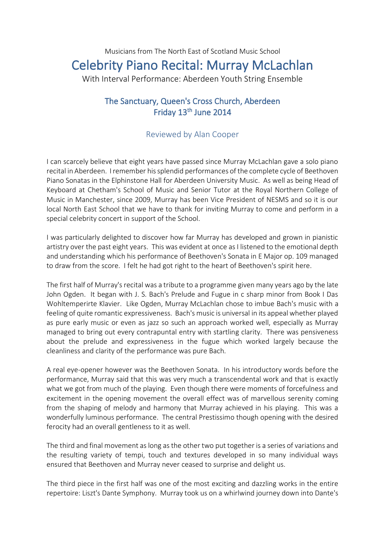## Musicians from The North East of Scotland Music School Celebrity Piano Recital: Murray McLachlan With Interval Performance: Aberdeen Youth String Ensemble

## The Sanctuary, Queen's Cross Church, Aberdeen Friday 13<sup>th</sup> June 2014

## Reviewed by Alan Cooper

I can scarcely believe that eight years have passed since Murray McLachlan gave a solo piano recital in Aberdeen. I remember his splendid performances of the complete cycle of Beethoven Piano Sonatas in the Elphinstone Hall for Aberdeen University Music. As well as being Head of Keyboard at Chetham's School of Music and Senior Tutor at the Royal Northern College of Music in Manchester, since 2009, Murray has been Vice President of NESMS and so it is our local North East School that we have to thank for inviting Murray to come and perform in a special celebrity concert in support of the School.

I was particularly delighted to discover how far Murray has developed and grown in pianistic artistry over the past eight years. This was evident at once as I listened to the emotional depth and understanding which his performance of Beethoven's Sonata in E Major op. 109 managed to draw from the score. I felt he had got right to the heart of Beethoven's spirit here.

The first half of Murray's recital was a tribute to a programme given many years ago by the late John Ogden. It began with J. S. Bach's Prelude and Fugue in c sharp minor from Book I Das Wohltemperirte Klavier. Like Ogden, Murray McLachlan chose to imbue Bach's music with a feeling of quite romantic expressiveness. Bach's music is universal in its appeal whether played as pure early music or even as jazz so such an approach worked well, especially as Murray managed to bring out every contrapuntal entry with startling clarity. There was pensiveness about the prelude and expressiveness in the fugue which worked largely because the cleanliness and clarity of the performance was pure Bach.

A real eye-opener however was the Beethoven Sonata. In his introductory words before the performance, Murray said that this was very much a transcendental work and that is exactly what we got from much of the playing. Even though there were moments of forcefulness and excitement in the opening movement the overall effect was of marvellous serenity coming from the shaping of melody and harmony that Murray achieved in his playing. This was a wonderfully luminous performance. The central Prestissimo though opening with the desired ferocity had an overall gentleness to it as well.

The third and final movement as long as the other two put together is a series of variations and the resulting variety of tempi, touch and textures developed in so many individual ways ensured that Beethoven and Murray never ceased to surprise and delight us.

The third piece in the first half was one of the most exciting and dazzling works in the entire repertoire: Liszt's Dante Symphony. Murray took us on a whirlwind journey down into Dante's